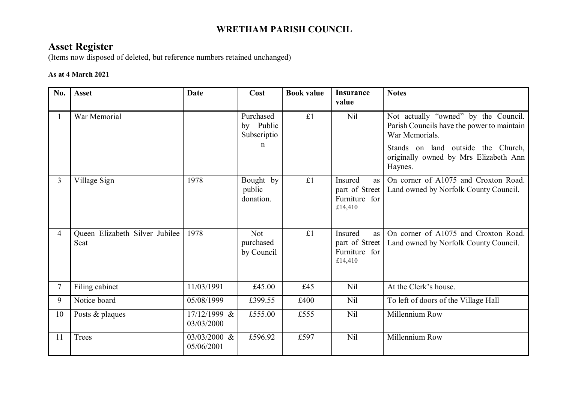## **WRETHAM PARISH COUNCIL**

## **Asset Register**

(Items now disposed of deleted, but reference numbers retained unchanged)

## **As at 4 March 2021**

| No.            | <b>Asset</b>                           | <b>Date</b>                | Cost                                  | <b>Book value</b> | <b>Insurance</b><br>value                                          | <b>Notes</b>                                                                                         |
|----------------|----------------------------------------|----------------------------|---------------------------------------|-------------------|--------------------------------------------------------------------|------------------------------------------------------------------------------------------------------|
| 1              | War Memorial                           |                            | Purchased<br>by Public<br>Subscriptio | £1                | Nil                                                                | Not actually "owned" by the Council.<br>Parish Councils have the power to maintain<br>War Memorials. |
|                |                                        |                            | $\mathbf n$                           |                   |                                                                    | Stands on land outside the Church,<br>originally owned by Mrs Elizabeth Ann<br>Haynes.               |
| $\overline{3}$ | Village Sign                           | 1978                       | Bought by<br>public<br>donation.      | £1                | Insured<br><b>as</b><br>part of Street<br>Furniture for<br>£14,410 | On corner of A1075 and Croxton Road.<br>Land owned by Norfolk County Council.                        |
| $\overline{4}$ | Queen Elizabeth Silver Jubilee<br>Seat | 1978                       | <b>Not</b><br>purchased<br>by Council | £1                | Insured<br><b>as</b><br>part of Street<br>Furniture for<br>£14,410 | On corner of A1075 and Croxton Road.<br>Land owned by Norfolk County Council.                        |
| $\tau$         | Filing cabinet                         | 11/03/1991                 | £45.00                                | £45               | N <sub>il</sub>                                                    | At the Clerk's house.                                                                                |
| 9              | Notice board                           | 05/08/1999                 | £399.55                               | £400              | N <sub>il</sub>                                                    | To left of doors of the Village Hall                                                                 |
| 10             | Posts & plaques                        | 17/12/1999 &<br>03/03/2000 | £555.00                               | £555              | Nil                                                                | Millennium Row                                                                                       |
| 11             | Trees                                  | 03/03/2000 &<br>05/06/2001 | £596.92                               | £597              | Nil                                                                | Millennium Row                                                                                       |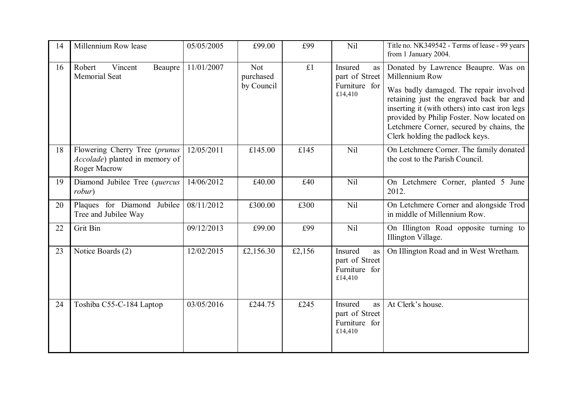| 14 | Millennium Row lease                                                                           | 05/05/2005 | £99.00                         | £99    | Nil                                                         | Title no. NK349542 - Terms of lease - 99 years<br>from 1 January 2004.                                                                                                                                                                                                                                                    |
|----|------------------------------------------------------------------------------------------------|------------|--------------------------------|--------|-------------------------------------------------------------|---------------------------------------------------------------------------------------------------------------------------------------------------------------------------------------------------------------------------------------------------------------------------------------------------------------------------|
| 16 | Robert<br>Vincent<br>Beaupre<br>Memorial Seat                                                  | 11/01/2007 | Not<br>purchased<br>by Council | £1     | Insured<br>as<br>part of Street<br>Furniture for<br>£14,410 | Donated by Lawrence Beaupre. Was on<br>Millennium Row<br>Was badly damaged. The repair involved<br>retaining just the engraved back bar and<br>inserting it (with others) into cast iron legs<br>provided by Philip Foster. Now located on<br>Letchmere Corner, secured by chains, the<br>Clerk holding the padlock keys. |
| 18 | Flowering Cherry Tree (prunus<br><i>Accolade</i> ) planted in memory of<br><b>Roger Macrow</b> | 12/05/2011 | £145.00                        | £145   | Nil                                                         | On Letchmere Corner. The family donated<br>the cost to the Parish Council.                                                                                                                                                                                                                                                |
| 19 | Diamond Jubilee Tree (quercus<br>robur)                                                        | 14/06/2012 | £40.00                         | £40    | Nil                                                         | On Letchmere Corner, planted 5 June<br>2012.                                                                                                                                                                                                                                                                              |
| 20 | Plaques for Diamond Jubilee<br>Tree and Jubilee Way                                            | 08/11/2012 | £300.00                        | £300   | Nil                                                         | On Letchmere Corner and alongside Trod<br>in middle of Millennium Row.                                                                                                                                                                                                                                                    |
| 22 | Grit Bin                                                                                       | 09/12/2013 | £99.00                         | £99    | Nil                                                         | On Illington Road opposite turning to<br>Illington Village.                                                                                                                                                                                                                                                               |
| 23 | Notice Boards (2)                                                                              | 12/02/2015 | £2,156.30                      | £2,156 | Insured<br>as<br>part of Street<br>Furniture for<br>£14,410 | On Illington Road and in West Wretham.                                                                                                                                                                                                                                                                                    |
| 24 | Toshiba C55-C-184 Laptop                                                                       | 03/05/2016 | £244.75                        | £245   | Insured<br>as<br>part of Street<br>Furniture for<br>£14,410 | At Clerk's house.                                                                                                                                                                                                                                                                                                         |